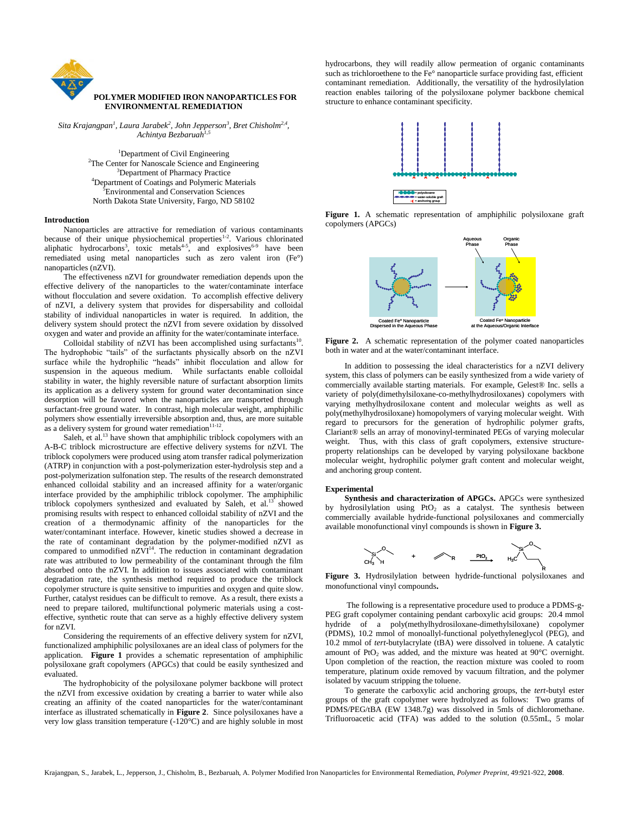

*Sita Krajangpan<sup>1</sup> , Laura Jarabek<sup>2</sup> , John Jepperson<sup>3</sup> , Bret Chisholm2,4 , Achintya Bezbaruah1,5*

> <sup>1</sup>Department of Civil Engineering <sup>2</sup>The Center for Nanoscale Science and Engineering <sup>3</sup>Department of Pharmacy Practice <sup>4</sup>Department of Coatings and Polymeric Materials **Environmental and Conservation Sciences** North Dakota State University, Fargo, ND 58102

### **Introduction**

Nanoparticles are attractive for remediation of various contaminants because of their unique physiochemical properties $1-2$ . Various chlorinated aliphatic hydrocarbons<sup>3</sup>, toxic metals<sup>4.5</sup>, and explosives<sup>6-9</sup> have been remediated using metal nanoparticles such as zero valent iron (Fe°) nanoparticles (nZVI).

The effectiveness nZVI for groundwater remediation depends upon the effective delivery of the nanoparticles to the water/contaminate interface without flocculation and severe oxidation. To accomplish effective delivery of nZVI, a delivery system that provides for dispersability and colloidal stability of individual nanoparticles in water is required. In addition, the delivery system should protect the nZVI from severe oxidation by dissolved oxygen and water and provide an affinity for the water/contaminate interface.

Colloidal stability of nZVI has been accomplished using surfactants<sup>10</sup> . The hydrophobic "tails" of the surfactants physically absorb on the nZVI surface while the hydrophilic "heads" inhibit flocculation and allow for suspension in the aqueous medium. While surfactants enable colloidal stability in water, the highly reversible nature of surfactant absorption limits its application as a delivery system for ground water decontamination since desorption will be favored when the nanoparticles are transported through surfactant-free ground water. In contrast, high molecular weight, amphiphilic polymers show essentially irreversible absorption and, thus, are more suitable as a delivery system for ground water remediation $11-12$ .

Saleh, et al.<sup>13</sup> have shown that amphiphilic triblock copolymers with an A-B-C triblock microstructure are effective delivery systems for nZVI. The triblock copolymers were produced using atom transfer radical polymerization (ATRP) in conjunction with a post-polymerization ester-hydrolysis step and a post-polymerization sulfonation step. The results of the research demonstrated enhanced colloidal stability and an increased affinity for a water/organic interface provided by the amphiphilic triblock copolymer. The amphiphilic triblock copolymers synthesized and evaluated by Saleh, et al.<sup>13</sup> showed promising results with respect to enhanced colloidal stability of nZVI and the creation of a thermodynamic affinity of the nanoparticles for the water/contaminant interface. However, kinetic studies showed a decrease in the rate of contaminant degradation by the polymer-modified nZVI as compared to unmodified  $nZVI<sup>14</sup>$ . The reduction in contaminant degradation rate was attributed to low permeability of the contaminant through the film absorbed onto the nZVI. In addition to issues associated with contaminant degradation rate, the synthesis method required to produce the triblock copolymer structure is quite sensitive to impurities and oxygen and quite slow. Further, catalyst residues can be difficult to remove. As a result, there exists a need to prepare tailored, multifunctional polymeric materials using a costeffective, synthetic route that can serve as a highly effective delivery system for nZVI.

Considering the requirements of an effective delivery system for nZVI, functionalized amphiphilic polysiloxanes are an ideal class of polymers for the application. **Figure 1** provides a schematic representation of amphiphilic polysiloxane graft copolymers (APGCs) that could be easily synthesized and evaluated.

The hydrophobicity of the polysiloxane polymer backbone will protect the nZVI from excessive oxidation by creating a barrier to water while also creating an affinity of the coated nanoparticles for the water/contaminant interface as illustrated schematically in **Figure 2**. Since polysiloxanes have a very low glass transition temperature (-120°C) and are highly soluble in most hydrocarbons, they will readily allow permeation of organic contaminants such as trichloroethene to the Fe° nanoparticle surface providing fast, efficient contaminant remediation. Additionally, the versatility of the hydrosilylation reaction enables tailoring of the polysiloxane polymer backbone chemical structure to enhance contaminant specificity.



**Figure 1.** A schematic representation of amphiphilic polysiloxane graft copolymers (APGCs)



**Figure 2.** A schematic representation of the polymer coated nanoparticles both in water and at the water/contaminant interface.

In addition to possessing the ideal characteristics for a nZVI delivery system, this class of polymers can be easily synthesized from a wide variety of commercially available starting materials. For example, Gelest® Inc. sells a variety of poly(dimethylsiloxane-co-methylhydrosiloxanes) copolymers with varying methylhydrosiloxane content and molecular weights as well as poly(methylhydrosiloxane) homopolymers of varying molecular weight. With regard to precursors for the generation of hydrophilic polymer grafts, Clariant® sells an array of monovinyl-terminated PEGs of varying molecular weight. Thus, with this class of graft copolymers, extensive structureproperty relationships can be developed by varying polysiloxane backbone molecular weight, hydrophilic polymer graft content and molecular weight, and anchoring group content.

#### **Experimental**

**Synthesis and characterization of APGCs.** APGCs were synthesized by hydrosilylation using  $PtO<sub>2</sub>$  as a catalyst. The synthesis between commercially available hydride-functional polysiloxanes and commercially available monofunctional vinyl compounds is shown in **Figure 3.**



**Figure 3.** Hydrosilylation between hydride-functional polysiloxanes and monofunctional vinyl compounds**.**

The following is a representative procedure used to produce a PDMS-g-PEG graft copolymer containing pendant carboxylic acid groups: 20.4 mmol hydride of a poly(methylhydrosiloxane-dimethylsiloxane) copolymer (PDMS), 10.2 mmol of monoallyl-functional polyethyleneglycol (PEG), and 10.2 mmol of *tert*-butylacrylate (tBA) were dissolved in toluene. A catalytic amount of PtO<sub>2</sub> was added, and the mixture was heated at  $90^{\circ}$ C overnight. Upon completion of the reaction, the reaction mixture was cooled to room temperature, platinum oxide removed by vacuum filtration, and the polymer isolated by vacuum stripping the toluene.

To generate the carboxylic acid anchoring groups, the *tert*-butyl ester groups of the graft copolymer were hydrolyzed as follows: Two grams of PDMS/PEG/tBA (EW 1348.7g) was dissolved in 5mls of dichloromethane. Trifluoroacetic acid (TFA) was added to the solution (0.55mL, 5 molar